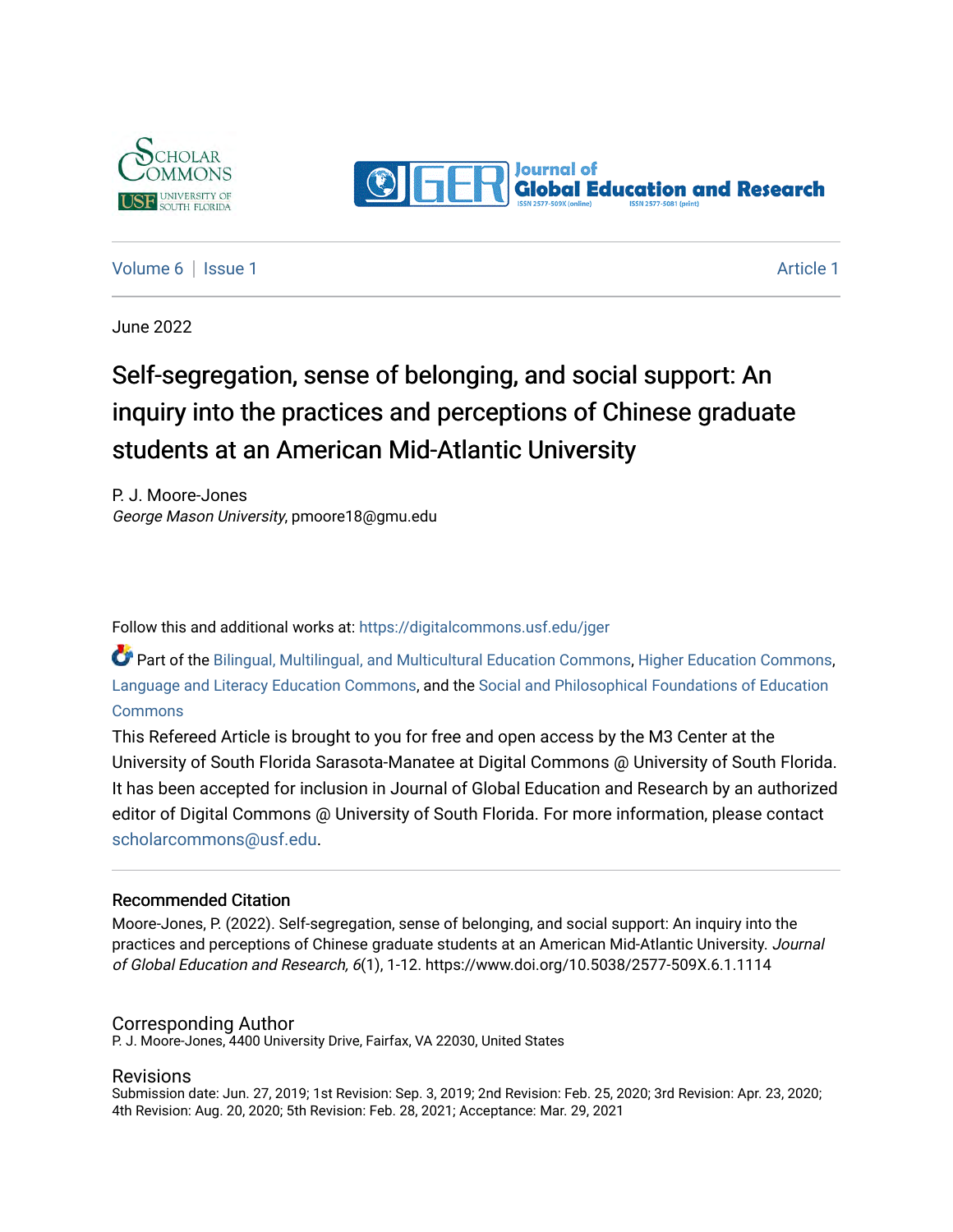



[Volume 6](https://digitalcommons.usf.edu/jger/vol6) | [Issue 1](https://digitalcommons.usf.edu/jger/vol6/iss1) [Article 1](https://digitalcommons.usf.edu/jger/vol6/iss1/1) Article 1 Article 1 Article 1 Article 1 Article 1 Article 1 Article 1 Article 1 A

June 2022

# Self-segregation, sense of belonging, and social support: An inquiry into the practices and perceptions of Chinese graduate students at an American Mid-Atlantic University

P. J. Moore-Jones George Mason University, pmoore18@gmu.edu

Follow this and additional works at: [https://digitalcommons.usf.edu/jger](https://digitalcommons.usf.edu/jger?utm_source=digitalcommons.usf.edu%2Fjger%2Fvol6%2Fiss1%2F1&utm_medium=PDF&utm_campaign=PDFCoverPages) 

Part of the [Bilingual, Multilingual, and Multicultural Education Commons,](http://network.bepress.com/hgg/discipline/785?utm_source=digitalcommons.usf.edu%2Fjger%2Fvol6%2Fiss1%2F1&utm_medium=PDF&utm_campaign=PDFCoverPages) [Higher Education Commons,](http://network.bepress.com/hgg/discipline/1245?utm_source=digitalcommons.usf.edu%2Fjger%2Fvol6%2Fiss1%2F1&utm_medium=PDF&utm_campaign=PDFCoverPages) [Language and Literacy Education Commons,](http://network.bepress.com/hgg/discipline/1380?utm_source=digitalcommons.usf.edu%2Fjger%2Fvol6%2Fiss1%2F1&utm_medium=PDF&utm_campaign=PDFCoverPages) and the [Social and Philosophical Foundations of Education](http://network.bepress.com/hgg/discipline/799?utm_source=digitalcommons.usf.edu%2Fjger%2Fvol6%2Fiss1%2F1&utm_medium=PDF&utm_campaign=PDFCoverPages)  **[Commons](http://network.bepress.com/hgg/discipline/799?utm_source=digitalcommons.usf.edu%2Fjger%2Fvol6%2Fiss1%2F1&utm_medium=PDF&utm_campaign=PDFCoverPages)** 

This Refereed Article is brought to you for free and open access by the M3 Center at the University of South Florida Sarasota-Manatee at Digital Commons @ University of South Florida. It has been accepted for inclusion in Journal of Global Education and Research by an authorized editor of Digital Commons @ University of South Florida. For more information, please contact [scholarcommons@usf.edu.](mailto:scholarcommons@usf.edu)

#### Recommended Citation

Moore-Jones, P. (2022). Self-segregation, sense of belonging, and social support: An inquiry into the practices and perceptions of Chinese graduate students at an American Mid-Atlantic University. Journal of Global Education and Research, 6(1), 1-12. https://www.doi.org/10.5038/2577-509X.6.1.1114

#### Corresponding Author

P. J. Moore-Jones, 4400 University Drive, Fairfax, VA 22030, United States

#### Revisions

Submission date: Jun. 27, 2019; 1st Revision: Sep. 3, 2019; 2nd Revision: Feb. 25, 2020; 3rd Revision: Apr. 23, 2020; 4th Revision: Aug. 20, 2020; 5th Revision: Feb. 28, 2021; Acceptance: Mar. 29, 2021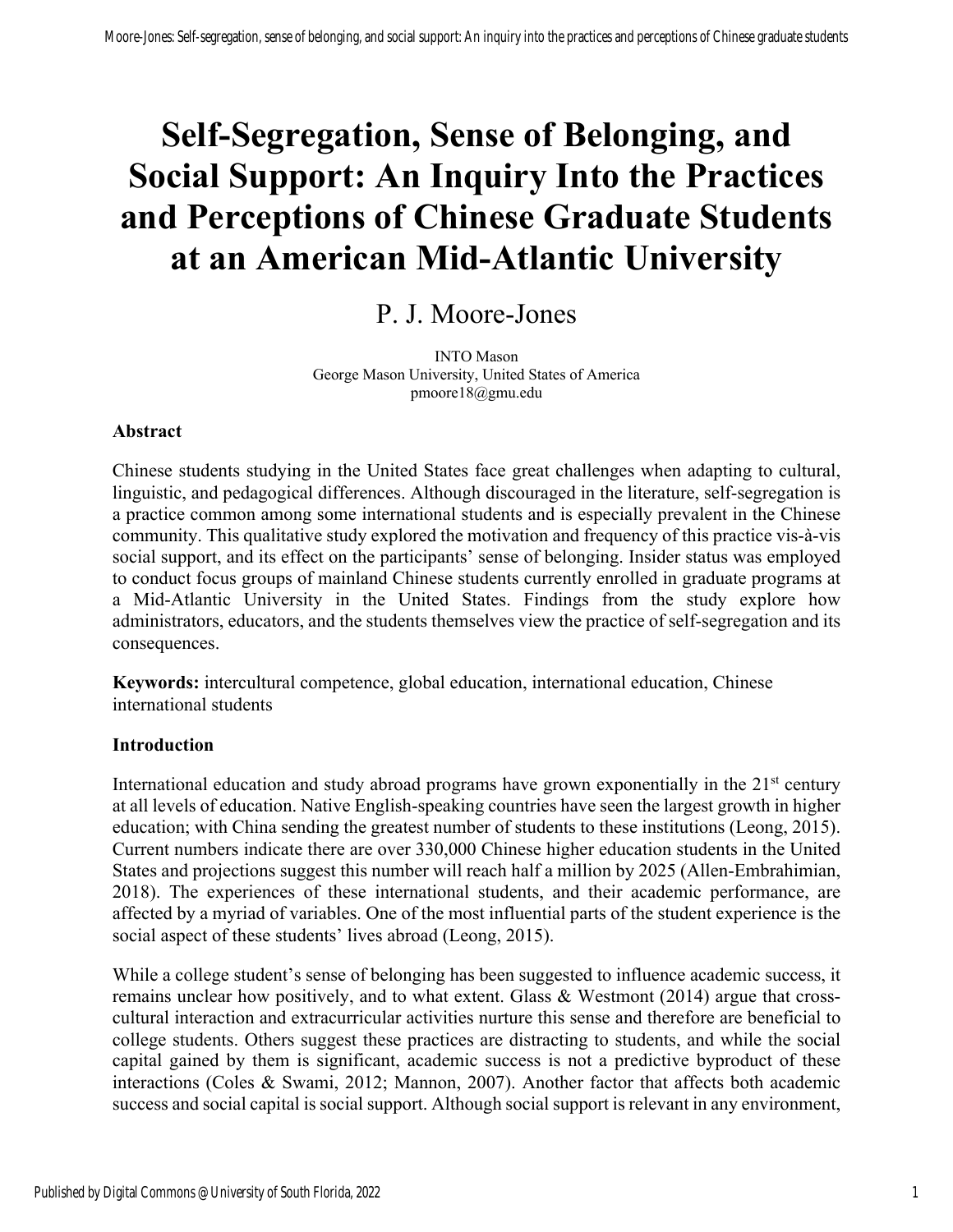# **Self-Segregation, Sense of Belonging, and Social Support: An Inquiry Into the Practices and Perceptions of Chinese Graduate Students at an American Mid-Atlantic University**

## P. J. Moore-Jones

INTO Mason George Mason University, United States of America pmoore18@gmu.edu

#### **Abstract**

Chinese students studying in the United States face great challenges when adapting to cultural, linguistic, and pedagogical differences. Although discouraged in the literature, self-segregation is a practice common among some international students and is especially prevalent in the Chinese community. This qualitative study explored the motivation and frequency of this practice vis-à-vis social support, and its effect on the participants' sense of belonging. Insider status was employed to conduct focus groups of mainland Chinese students currently enrolled in graduate programs at a Mid-Atlantic University in the United States. Findings from the study explore how administrators, educators, and the students themselves view the practice of self-segregation and its consequences.

**Keywords:** intercultural competence, global education, international education, Chinese international students

#### **Introduction**

International education and study abroad programs have grown exponentially in the  $21<sup>st</sup>$  century at all levels of education. Native English-speaking countries have seen the largest growth in higher education; with China sending the greatest number of students to these institutions (Leong, 2015). Current numbers indicate there are over 330,000 Chinese higher education students in the United States and projections suggest this number will reach half a million by 2025 (Allen-Embrahimian, 2018). The experiences of these international students, and their academic performance, are affected by a myriad of variables. One of the most influential parts of the student experience is the social aspect of these students' lives abroad (Leong, 2015).

While a college student's sense of belonging has been suggested to influence academic success, it remains unclear how positively, and to what extent. Glass & Westmont (2014) argue that crosscultural interaction and extracurricular activities nurture this sense and therefore are beneficial to college students. Others suggest these practices are distracting to students, and while the social capital gained by them is significant, academic success is not a predictive byproduct of these interactions (Coles & Swami, 2012; Mannon, 2007). Another factor that affects both academic success and social capital is social support. Although social support is relevant in any environment,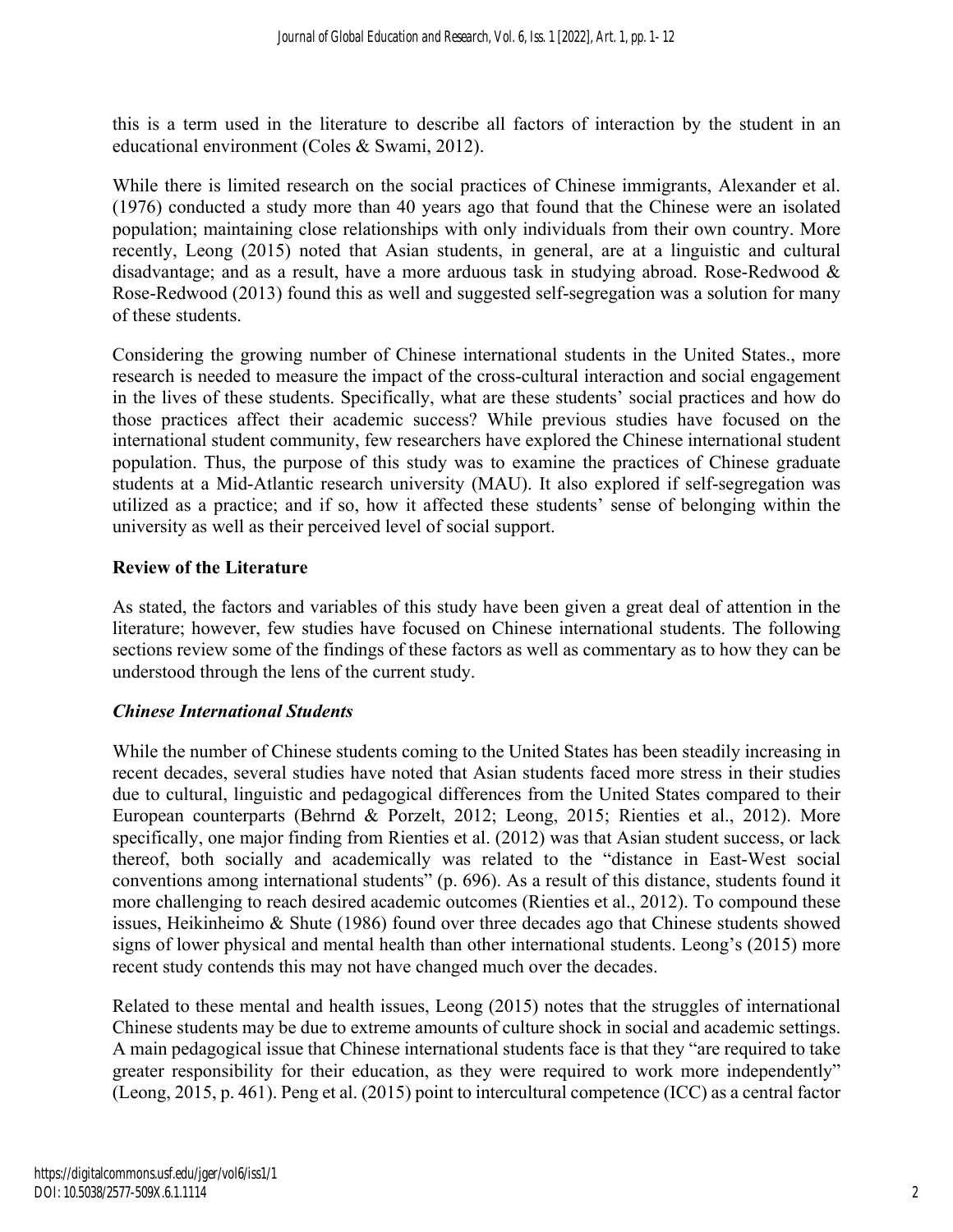this is a term used in the literature to describe all factors of interaction by the student in an educational environment (Coles & Swami, 2012).

While there is limited research on the social practices of Chinese immigrants, Alexander et al. (1976) conducted a study more than 40 years ago that found that the Chinese were an isolated population; maintaining close relationships with only individuals from their own country. More recently, Leong (2015) noted that Asian students, in general, are at a linguistic and cultural disadvantage; and as a result, have a more arduous task in studying abroad. Rose-Redwood & Rose-Redwood (2013) found this as well and suggested self-segregation was a solution for many of these students.

Considering the growing number of Chinese international students in the United States., more research is needed to measure the impact of the cross-cultural interaction and social engagement in the lives of these students. Specifically, what are these students' social practices and how do those practices affect their academic success? While previous studies have focused on the international student community, few researchers have explored the Chinese international student population. Thus, the purpose of this study was to examine the practices of Chinese graduate students at a Mid-Atlantic research university (MAU). It also explored if self-segregation was utilized as a practice; and if so, how it affected these students' sense of belonging within the university as well as their perceived level of social support.

## **Review of the Literature**

As stated, the factors and variables of this study have been given a great deal of attention in the literature; however, few studies have focused on Chinese international students. The following sections review some of the findings of these factors as well as commentary as to how they can be understood through the lens of the current study.

## *Chinese International Students*

While the number of Chinese students coming to the United States has been steadily increasing in recent decades, several studies have noted that Asian students faced more stress in their studies due to cultural, linguistic and pedagogical differences from the United States compared to their European counterparts (Behrnd & Porzelt, 2012; Leong, 2015; Rienties et al., 2012). More specifically, one major finding from Rienties et al. (2012) was that Asian student success, or lack thereof, both socially and academically was related to the "distance in East-West social conventions among international students" (p. 696). As a result of this distance, students found it more challenging to reach desired academic outcomes (Rienties et al., 2012). To compound these issues, Heikinheimo & Shute (1986) found over three decades ago that Chinese students showed signs of lower physical and mental health than other international students. Leong's (2015) more recent study contends this may not have changed much over the decades.

Related to these mental and health issues, Leong (2015) notes that the struggles of international Chinese students may be due to extreme amounts of culture shock in social and academic settings. A main pedagogical issue that Chinese international students face is that they "are required to take greater responsibility for their education, as they were required to work more independently" (Leong, 2015, p. 461). Peng et al. (2015) point to intercultural competence (ICC) as a central factor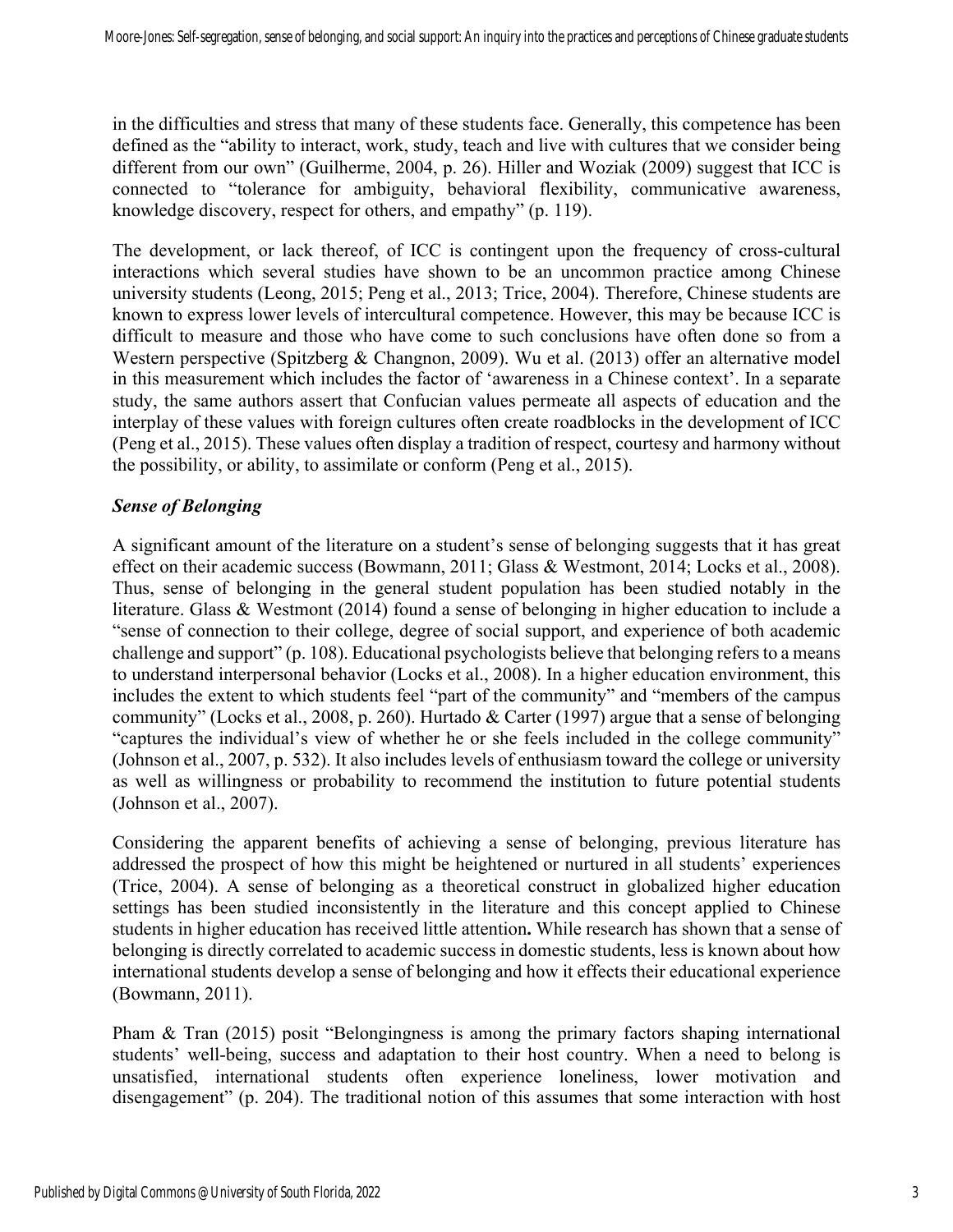in the difficulties and stress that many of these students face. Generally, this competence has been defined as the "ability to interact, work, study, teach and live with cultures that we consider being different from our own" (Guilherme, 2004, p. 26). Hiller and Woziak (2009) suggest that ICC is connected to "tolerance for ambiguity, behavioral flexibility, communicative awareness, knowledge discovery, respect for others, and empathy" (p. 119).

The development, or lack thereof, of ICC is contingent upon the frequency of cross-cultural interactions which several studies have shown to be an uncommon practice among Chinese university students (Leong, 2015; Peng et al., 2013; Trice, 2004). Therefore, Chinese students are known to express lower levels of intercultural competence. However, this may be because ICC is difficult to measure and those who have come to such conclusions have often done so from a Western perspective (Spitzberg & Changnon, 2009). Wu et al. (2013) offer an alternative model in this measurement which includes the factor of 'awareness in a Chinese context'. In a separate study, the same authors assert that Confucian values permeate all aspects of education and the interplay of these values with foreign cultures often create roadblocks in the development of ICC (Peng et al., 2015). These values often display a tradition of respect, courtesy and harmony without the possibility, or ability, to assimilate or conform (Peng et al., 2015).

#### *Sense of Belonging*

A significant amount of the literature on a student's sense of belonging suggests that it has great effect on their academic success (Bowmann, 2011; Glass & Westmont, 2014; Locks et al., 2008). Thus, sense of belonging in the general student population has been studied notably in the literature. Glass & Westmont (2014) found a sense of belonging in higher education to include a "sense of connection to their college, degree of social support, and experience of both academic challenge and support" (p. 108). Educational psychologists believe that belonging refers to a means to understand interpersonal behavior (Locks et al., 2008). In a higher education environment, this includes the extent to which students feel "part of the community" and "members of the campus community" (Locks et al., 2008, p. 260). Hurtado & Carter (1997) argue that a sense of belonging "captures the individual's view of whether he or she feels included in the college community" (Johnson et al., 2007, p. 532). It also includes levels of enthusiasm toward the college or university as well as willingness or probability to recommend the institution to future potential students (Johnson et al., 2007).

Considering the apparent benefits of achieving a sense of belonging, previous literature has addressed the prospect of how this might be heightened or nurtured in all students' experiences (Trice, 2004). A sense of belonging as a theoretical construct in globalized higher education settings has been studied inconsistently in the literature and this concept applied to Chinese students in higher education has received little attention**.** While research has shown that a sense of belonging is directly correlated to academic success in domestic students, less is known about how international students develop a sense of belonging and how it effects their educational experience (Bowmann, 2011).

Pham & Tran (2015) posit "Belongingness is among the primary factors shaping international students' well-being, success and adaptation to their host country. When a need to belong is unsatisfied, international students often experience loneliness, lower motivation and disengagement" (p. 204). The traditional notion of this assumes that some interaction with host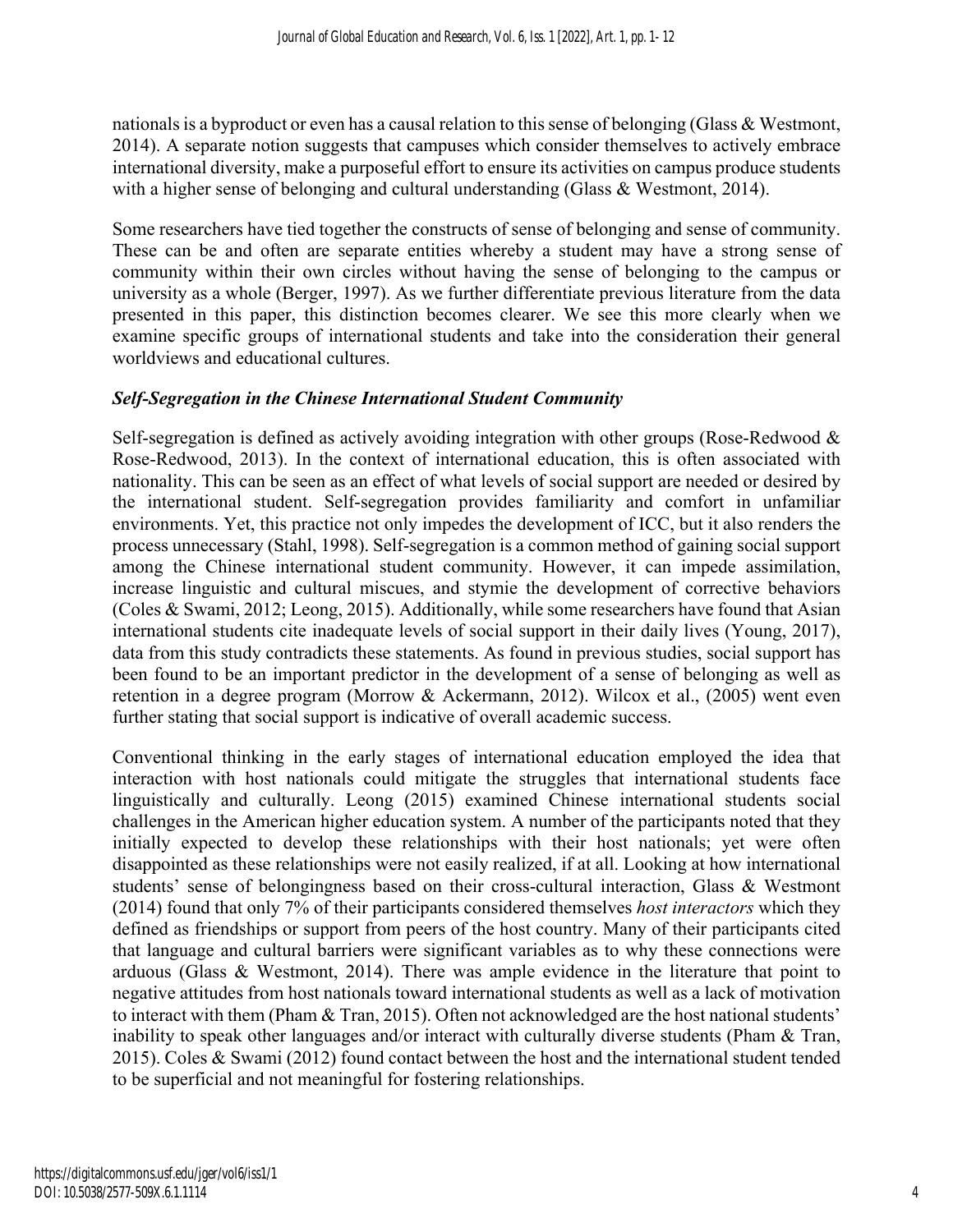nationals is a byproduct or even has a causal relation to this sense of belonging (Glass & Westmont, 2014). A separate notion suggests that campuses which consider themselves to actively embrace international diversity, make a purposeful effort to ensure its activities on campus produce students with a higher sense of belonging and cultural understanding (Glass & Westmont, 2014).

Some researchers have tied together the constructs of sense of belonging and sense of community. These can be and often are separate entities whereby a student may have a strong sense of community within their own circles without having the sense of belonging to the campus or university as a whole (Berger, 1997). As we further differentiate previous literature from the data presented in this paper, this distinction becomes clearer. We see this more clearly when we examine specific groups of international students and take into the consideration their general worldviews and educational cultures.

#### *Self-Segregation in the Chinese International Student Community*

Self-segregation is defined as actively avoiding integration with other groups (Rose-Redwood & Rose-Redwood, 2013). In the context of international education, this is often associated with nationality. This can be seen as an effect of what levels of social support are needed or desired by the international student. Self-segregation provides familiarity and comfort in unfamiliar environments. Yet, this practice not only impedes the development of ICC, but it also renders the process unnecessary (Stahl, 1998). Self-segregation is a common method of gaining social support among the Chinese international student community. However, it can impede assimilation, increase linguistic and cultural miscues, and stymie the development of corrective behaviors (Coles & Swami, 2012; Leong, 2015). Additionally, while some researchers have found that Asian international students cite inadequate levels of social support in their daily lives (Young, 2017), data from this study contradicts these statements. As found in previous studies, social support has been found to be an important predictor in the development of a sense of belonging as well as retention in a degree program (Morrow & Ackermann, 2012). Wilcox et al., (2005) went even further stating that social support is indicative of overall academic success.

Conventional thinking in the early stages of international education employed the idea that interaction with host nationals could mitigate the struggles that international students face linguistically and culturally. Leong (2015) examined Chinese international students social challenges in the American higher education system. A number of the participants noted that they initially expected to develop these relationships with their host nationals; yet were often disappointed as these relationships were not easily realized, if at all. Looking at how international students' sense of belongingness based on their cross-cultural interaction, Glass & Westmont (2014) found that only 7% of their participants considered themselves *host interactors* which they defined as friendships or support from peers of the host country. Many of their participants cited that language and cultural barriers were significant variables as to why these connections were arduous (Glass & Westmont, 2014). There was ample evidence in the literature that point to negative attitudes from host nationals toward international students as well as a lack of motivation to interact with them (Pham & Tran, 2015). Often not acknowledged are the host national students' inability to speak other languages and/or interact with culturally diverse students (Pham & Tran, 2015). Coles & Swami (2012) found contact between the host and the international student tended to be superficial and not meaningful for fostering relationships.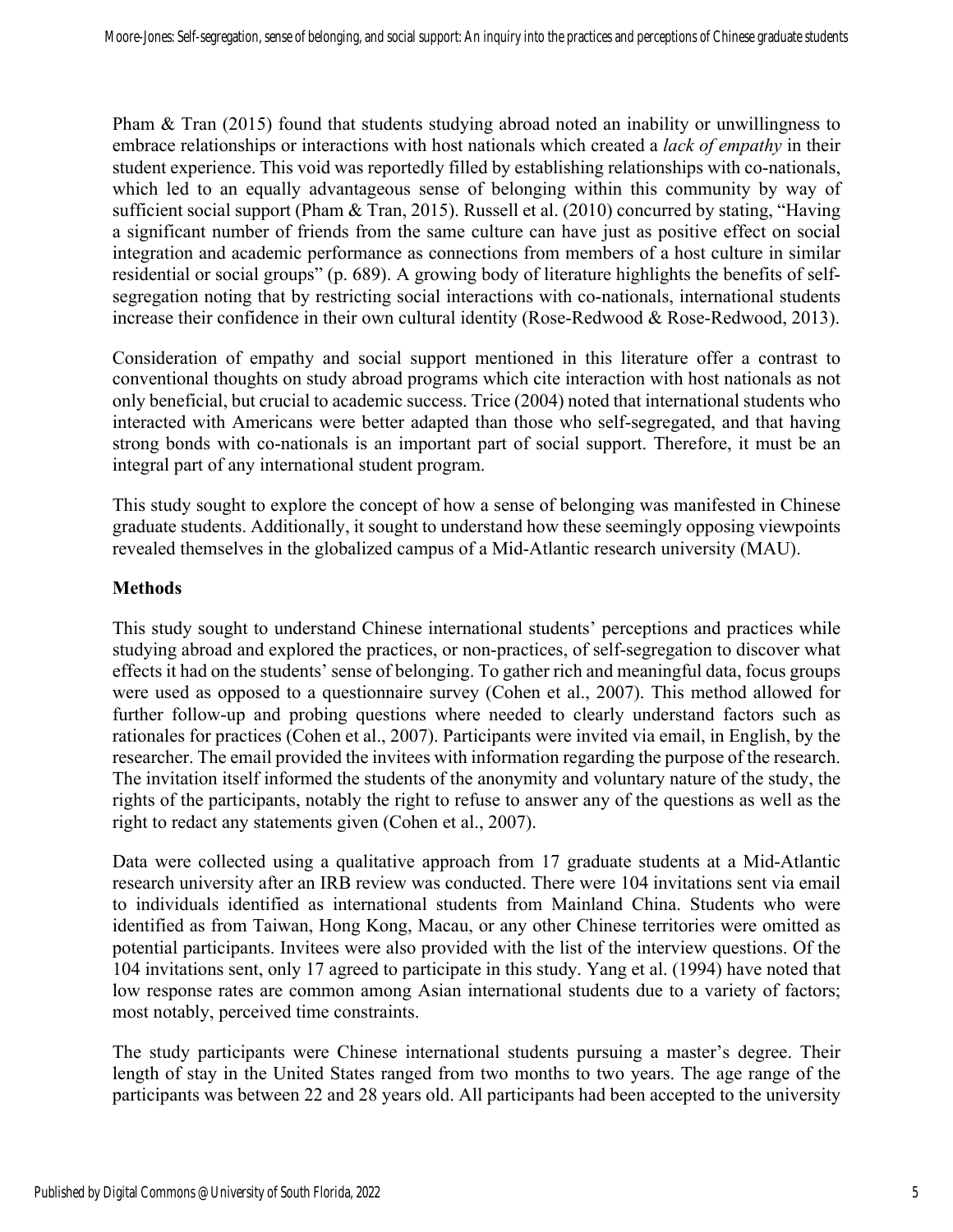Pham & Tran (2015) found that students studying abroad noted an inability or unwillingness to embrace relationships or interactions with host nationals which created a *lack of empathy* in their student experience. This void was reportedly filled by establishing relationships with co-nationals, which led to an equally advantageous sense of belonging within this community by way of sufficient social support (Pham & Tran, 2015). Russell et al. (2010) concurred by stating, "Having a significant number of friends from the same culture can have just as positive effect on social integration and academic performance as connections from members of a host culture in similar residential or social groups" (p. 689). A growing body of literature highlights the benefits of selfsegregation noting that by restricting social interactions with co-nationals, international students increase their confidence in their own cultural identity (Rose-Redwood & Rose-Redwood, 2013).

Consideration of empathy and social support mentioned in this literature offer a contrast to conventional thoughts on study abroad programs which cite interaction with host nationals as not only beneficial, but crucial to academic success. Trice (2004) noted that international students who interacted with Americans were better adapted than those who self-segregated, and that having strong bonds with co-nationals is an important part of social support. Therefore, it must be an integral part of any international student program.

This study sought to explore the concept of how a sense of belonging was manifested in Chinese graduate students. Additionally, it sought to understand how these seemingly opposing viewpoints revealed themselves in the globalized campus of a Mid-Atlantic research university (MAU).

### **Methods**

This study sought to understand Chinese international students' perceptions and practices while studying abroad and explored the practices, or non-practices, of self-segregation to discover what effects it had on the students' sense of belonging. To gather rich and meaningful data, focus groups were used as opposed to a questionnaire survey (Cohen et al., 2007). This method allowed for further follow-up and probing questions where needed to clearly understand factors such as rationales for practices (Cohen et al., 2007). Participants were invited via email, in English, by the researcher. The email provided the invitees with information regarding the purpose of the research. The invitation itself informed the students of the anonymity and voluntary nature of the study, the rights of the participants, notably the right to refuse to answer any of the questions as well as the right to redact any statements given (Cohen et al., 2007).

Data were collected using a qualitative approach from 17 graduate students at a Mid-Atlantic research university after an IRB review was conducted. There were 104 invitations sent via email to individuals identified as international students from Mainland China. Students who were identified as from Taiwan, Hong Kong, Macau, or any other Chinese territories were omitted as potential participants. Invitees were also provided with the list of the interview questions. Of the 104 invitations sent, only 17 agreed to participate in this study. Yang et al. (1994) have noted that low response rates are common among Asian international students due to a variety of factors; most notably, perceived time constraints.

The study participants were Chinese international students pursuing a master's degree. Their length of stay in the United States ranged from two months to two years. The age range of the participants was between 22 and 28 years old. All participants had been accepted to the university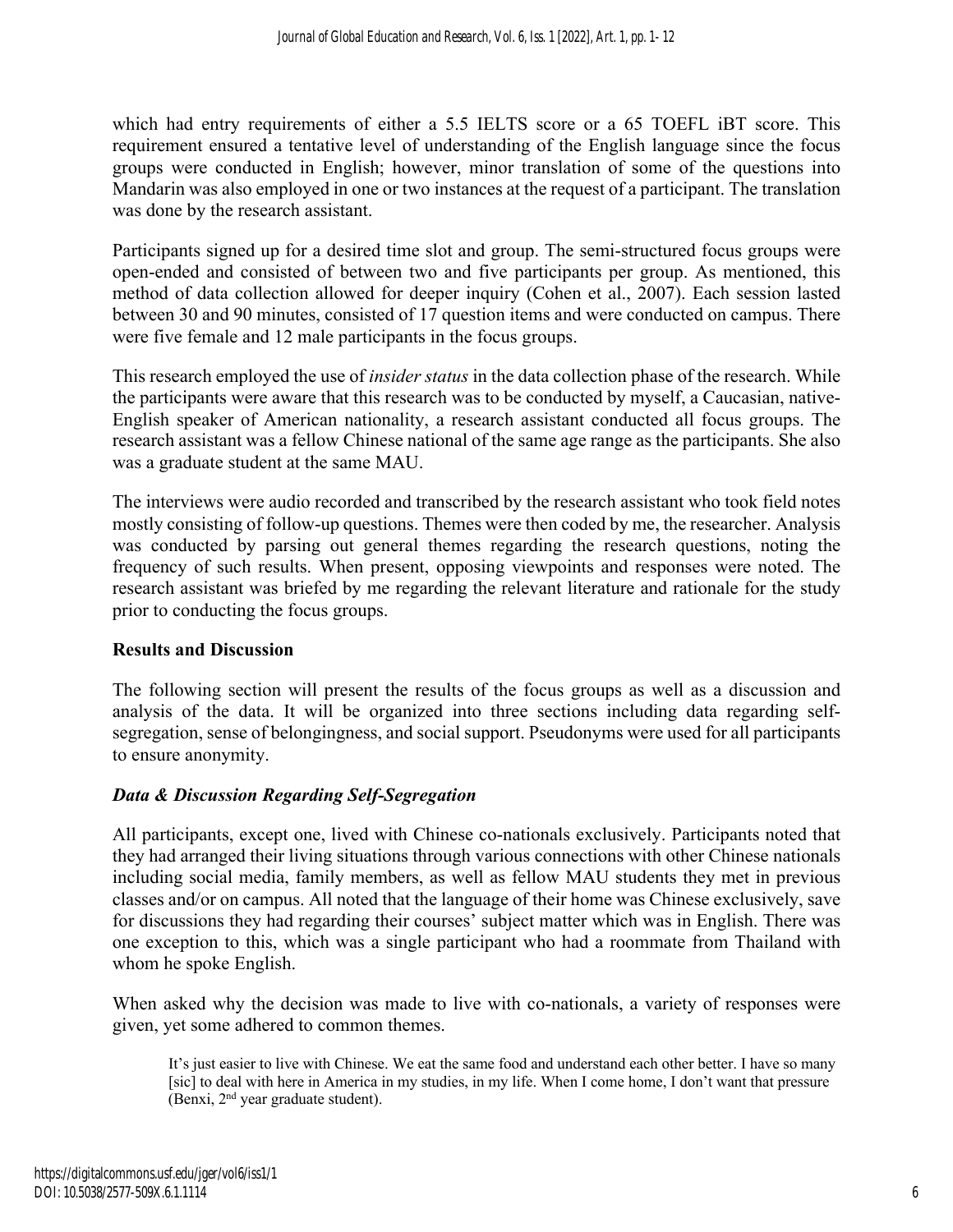which had entry requirements of either a 5.5 IELTS score or a 65 TOEFL iBT score. This requirement ensured a tentative level of understanding of the English language since the focus groups were conducted in English; however, minor translation of some of the questions into Mandarin was also employed in one or two instances at the request of a participant. The translation was done by the research assistant.

Participants signed up for a desired time slot and group. The semi-structured focus groups were open-ended and consisted of between two and five participants per group. As mentioned, this method of data collection allowed for deeper inquiry (Cohen et al., 2007). Each session lasted between 30 and 90 minutes, consisted of 17 question items and were conducted on campus. There were five female and 12 male participants in the focus groups.

This research employed the use of *insider status* in the data collection phase of the research. While the participants were aware that this research was to be conducted by myself, a Caucasian, native-English speaker of American nationality, a research assistant conducted all focus groups. The research assistant was a fellow Chinese national of the same age range as the participants. She also was a graduate student at the same MAU.

The interviews were audio recorded and transcribed by the research assistant who took field notes mostly consisting of follow-up questions. Themes were then coded by me, the researcher. Analysis was conducted by parsing out general themes regarding the research questions, noting the frequency of such results. When present, opposing viewpoints and responses were noted. The research assistant was briefed by me regarding the relevant literature and rationale for the study prior to conducting the focus groups.

#### **Results and Discussion**

The following section will present the results of the focus groups as well as a discussion and analysis of the data. It will be organized into three sections including data regarding selfsegregation, sense of belongingness, and social support. Pseudonyms were used for all participants to ensure anonymity.

## *Data & Discussion Regarding Self-Segregation*

All participants, except one, lived with Chinese co-nationals exclusively. Participants noted that they had arranged their living situations through various connections with other Chinese nationals including social media, family members, as well as fellow MAU students they met in previous classes and/or on campus. All noted that the language of their home was Chinese exclusively, save for discussions they had regarding their courses' subject matter which was in English. There was one exception to this, which was a single participant who had a roommate from Thailand with whom he spoke English.

When asked why the decision was made to live with co-nationals, a variety of responses were given, yet some adhered to common themes.

It's just easier to live with Chinese. We eat the same food and understand each other better. I have so many [sic] to deal with here in America in my studies, in my life. When I come home, I don't want that pressure (Benxi, 2nd year graduate student).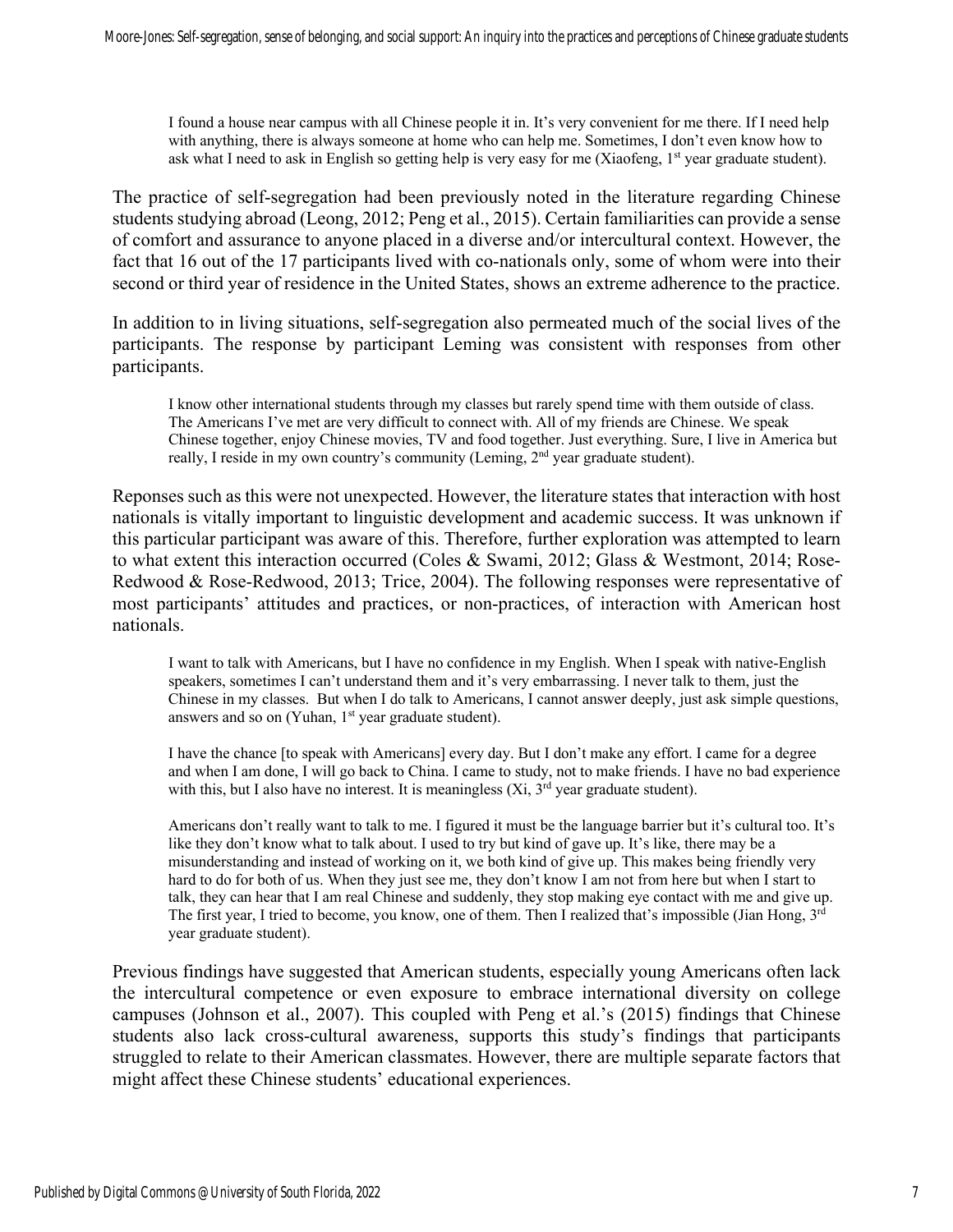I found a house near campus with all Chinese people it in. It's very convenient for me there. If I need help with anything, there is always someone at home who can help me. Sometimes, I don't even know how to ask what I need to ask in English so getting help is very easy for me (Xiaofeng,  $1<sup>st</sup>$  year graduate student).

The practice of self-segregation had been previously noted in the literature regarding Chinese students studying abroad (Leong, 2012; Peng et al., 2015). Certain familiarities can provide a sense of comfort and assurance to anyone placed in a diverse and/or intercultural context. However, the fact that 16 out of the 17 participants lived with co-nationals only, some of whom were into their second or third year of residence in the United States, shows an extreme adherence to the practice.

In addition to in living situations, self-segregation also permeated much of the social lives of the participants. The response by participant Leming was consistent with responses from other participants.

I know other international students through my classes but rarely spend time with them outside of class. The Americans I've met are very difficult to connect with. All of my friends are Chinese. We speak Chinese together, enjoy Chinese movies, TV and food together. Just everything. Sure, I live in America but really, I reside in my own country's community (Leming, 2<sup>nd</sup> year graduate student).

Reponses such as this were not unexpected. However, the literature states that interaction with host nationals is vitally important to linguistic development and academic success. It was unknown if this particular participant was aware of this. Therefore, further exploration was attempted to learn to what extent this interaction occurred (Coles & Swami, 2012; Glass & Westmont, 2014; Rose-Redwood & Rose-Redwood, 2013; Trice, 2004). The following responses were representative of most participants' attitudes and practices, or non-practices, of interaction with American host nationals.

I want to talk with Americans, but I have no confidence in my English. When I speak with native-English speakers, sometimes I can't understand them and it's very embarrassing. I never talk to them, just the Chinese in my classes. But when I do talk to Americans, I cannot answer deeply, just ask simple questions, answers and so on (Yuhan, 1<sup>st</sup> year graduate student).

I have the chance [to speak with Americans] every day. But I don't make any effort. I came for a degree and when I am done, I will go back to China. I came to study, not to make friends. I have no bad experience with this, but I also have no interest. It is meaningless  $(X_i, 3<sup>rd</sup>)$  year graduate student).

Americans don't really want to talk to me. I figured it must be the language barrier but it's cultural too. It's like they don't know what to talk about. I used to try but kind of gave up. It's like, there may be a misunderstanding and instead of working on it, we both kind of give up. This makes being friendly very hard to do for both of us. When they just see me, they don't know I am not from here but when I start to talk, they can hear that I am real Chinese and suddenly, they stop making eye contact with me and give up. The first year, I tried to become, you know, one of them. Then I realized that's impossible (Jian Hong, 3<sup>rd</sup> year graduate student).

Previous findings have suggested that American students, especially young Americans often lack the intercultural competence or even exposure to embrace international diversity on college campuses (Johnson et al., 2007). This coupled with Peng et al.'s (2015) findings that Chinese students also lack cross-cultural awareness, supports this study's findings that participants struggled to relate to their American classmates. However, there are multiple separate factors that might affect these Chinese students' educational experiences.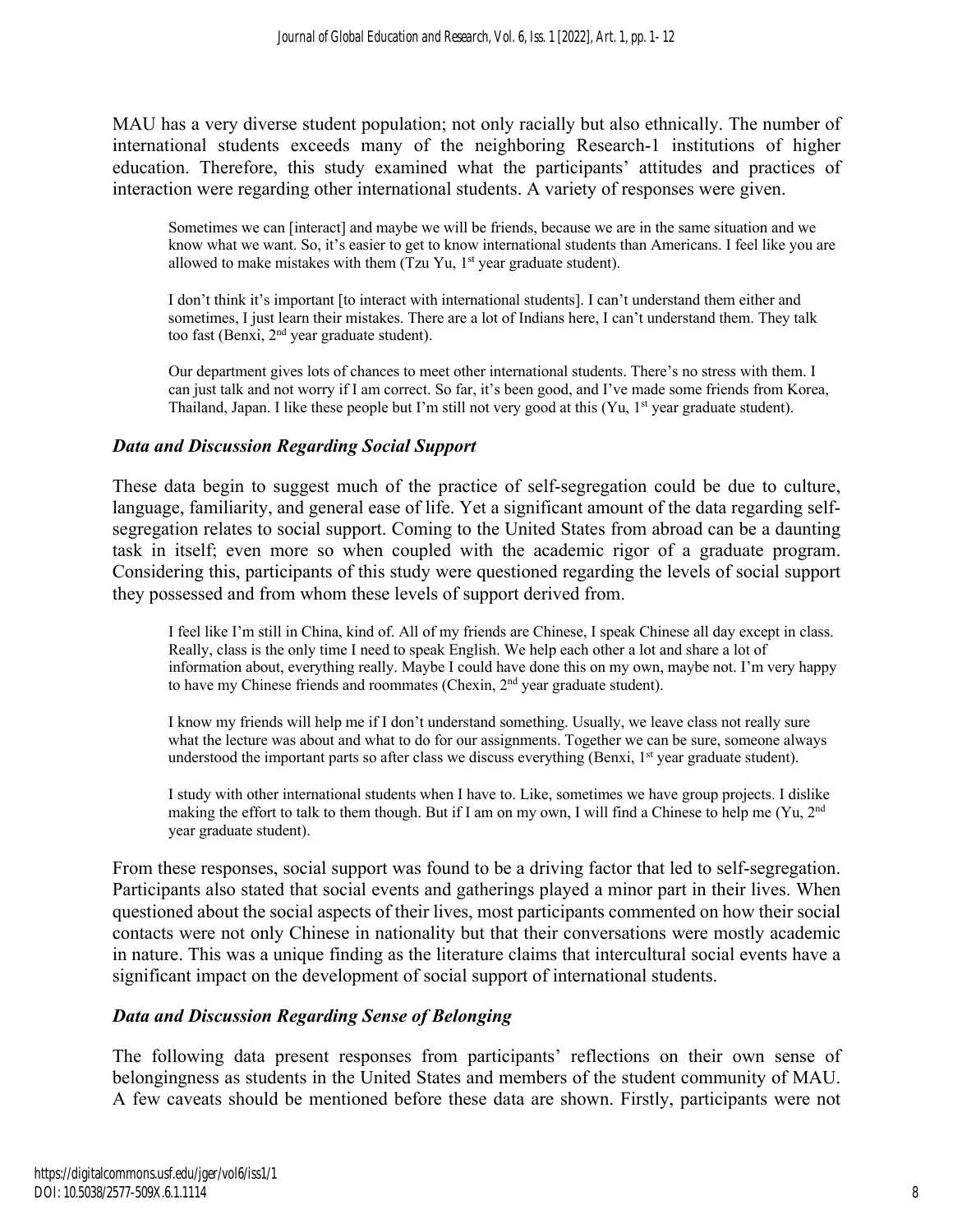MAU has a very diverse student population; not only racially but also ethnically. The number of international students exceeds many of the neighboring Research-1 institutions of higher education. Therefore, this study examined what the participants' attitudes and practices of interaction were regarding other international students. A variety of responses were given.

Sometimes we can [interact] and maybe we will be friends, because we are in the same situation and we know what we want. So, it's easier to get to know international students than Americans. I feel like you are allowed to make mistakes with them (Tzu Yu,  $1<sup>st</sup>$  year graduate student).

I don't think it's important [to interact with international students]. I can't understand them either and sometimes, I just learn their mistakes. There are a lot of Indians here, I can't understand them. They talk too fast (Benxi,  $2<sup>nd</sup>$  year graduate student).

Our department gives lots of chances to meet other international students. There's no stress with them. I can just talk and not worry if I am correct. So far, it's been good, and I've made some friends from Korea, Thailand, Japan. I like these people but I'm still not very good at this  $(Yu, 1<sup>st</sup>$  year graduate student).

#### *Data and Discussion Regarding Social Support*

These data begin to suggest much of the practice of self-segregation could be due to culture, language, familiarity, and general ease of life. Yet a significant amount of the data regarding selfsegregation relates to social support. Coming to the United States from abroad can be a daunting task in itself; even more so when coupled with the academic rigor of a graduate program. Considering this, participants of this study were questioned regarding the levels of social support they possessed and from whom these levels of support derived from.

I feel like I'm still in China, kind of. All of my friends are Chinese, I speak Chinese all day except in class. Really, class is the only time I need to speak English. We help each other a lot and share a lot of information about, everything really. Maybe I could have done this on my own, maybe not. I'm very happy to have my Chinese friends and roommates (Chexin, 2<sup>nd</sup> year graduate student).

I know my friends will help me if I don't understand something. Usually, we leave class not really sure what the lecture was about and what to do for our assignments. Together we can be sure, someone always understood the important parts so after class we discuss everything (Benxi,  $1<sup>st</sup>$  year graduate student).

I study with other international students when I have to. Like, sometimes we have group projects. I dislike making the effort to talk to them though. But if I am on my own, I will find a Chinese to help me (Yu, 2nd year graduate student).

From these responses, social support was found to be a driving factor that led to self-segregation. Participants also stated that social events and gatherings played a minor part in their lives. When questioned about the social aspects of their lives, most participants commented on how their social contacts were not only Chinese in nationality but that their conversations were mostly academic in nature. This was a unique finding as the literature claims that intercultural social events have a significant impact on the development of social support of international students.

#### *Data and Discussion Regarding Sense of Belonging*

The following data present responses from participants' reflections on their own sense of belongingness as students in the United States and members of the student community of MAU. A few caveats should be mentioned before these data are shown. Firstly, participants were not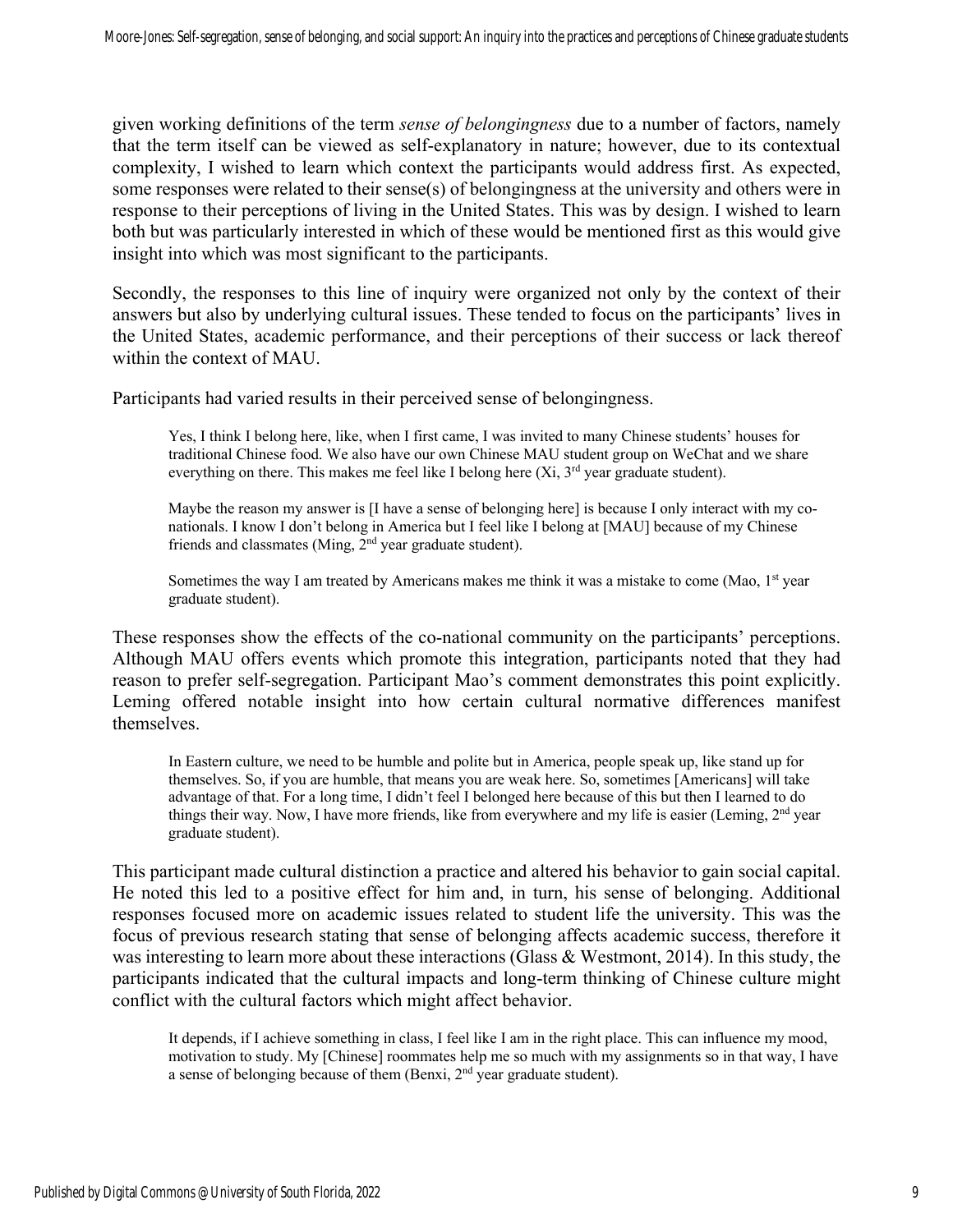given working definitions of the term *sense of belongingness* due to a number of factors, namely that the term itself can be viewed as self-explanatory in nature; however, due to its contextual complexity, I wished to learn which context the participants would address first. As expected, some responses were related to their sense(s) of belongingness at the university and others were in response to their perceptions of living in the United States. This was by design. I wished to learn both but was particularly interested in which of these would be mentioned first as this would give insight into which was most significant to the participants.

Secondly, the responses to this line of inquiry were organized not only by the context of their answers but also by underlying cultural issues. These tended to focus on the participants' lives in the United States, academic performance, and their perceptions of their success or lack thereof within the context of MAU.

Participants had varied results in their perceived sense of belongingness.

Yes, I think I belong here, like, when I first came, I was invited to many Chinese students' houses for traditional Chinese food. We also have our own Chinese MAU student group on WeChat and we share everything on there. This makes me feel like I belong here  $(X_i, 3^{rd})$  year graduate student).

Maybe the reason my answer is [I have a sense of belonging here] is because I only interact with my conationals. I know I don't belong in America but I feel like I belong at [MAU] because of my Chinese friends and classmates (Ming, 2<sup>nd</sup> year graduate student).

Sometimes the way I am treated by Americans makes me think it was a mistake to come (Mao,  $1<sup>st</sup>$  year graduate student).

These responses show the effects of the co-national community on the participants' perceptions. Although MAU offers events which promote this integration, participants noted that they had reason to prefer self-segregation. Participant Mao's comment demonstrates this point explicitly. Leming offered notable insight into how certain cultural normative differences manifest themselves.

In Eastern culture, we need to be humble and polite but in America, people speak up, like stand up for themselves. So, if you are humble, that means you are weak here. So, sometimes [Americans] will take advantage of that. For a long time, I didn't feel I belonged here because of this but then I learned to do things their way. Now, I have more friends, like from everywhere and my life is easier (Leming, 2<sup>nd</sup> year graduate student).

This participant made cultural distinction a practice and altered his behavior to gain social capital. He noted this led to a positive effect for him and, in turn, his sense of belonging. Additional responses focused more on academic issues related to student life the university. This was the focus of previous research stating that sense of belonging affects academic success, therefore it was interesting to learn more about these interactions (Glass & Westmont, 2014). In this study, the participants indicated that the cultural impacts and long-term thinking of Chinese culture might conflict with the cultural factors which might affect behavior.

It depends, if I achieve something in class, I feel like I am in the right place. This can influence my mood, motivation to study. My [Chinese] roommates help me so much with my assignments so in that way, I have a sense of belonging because of them (Benxi,  $2<sup>nd</sup>$  year graduate student).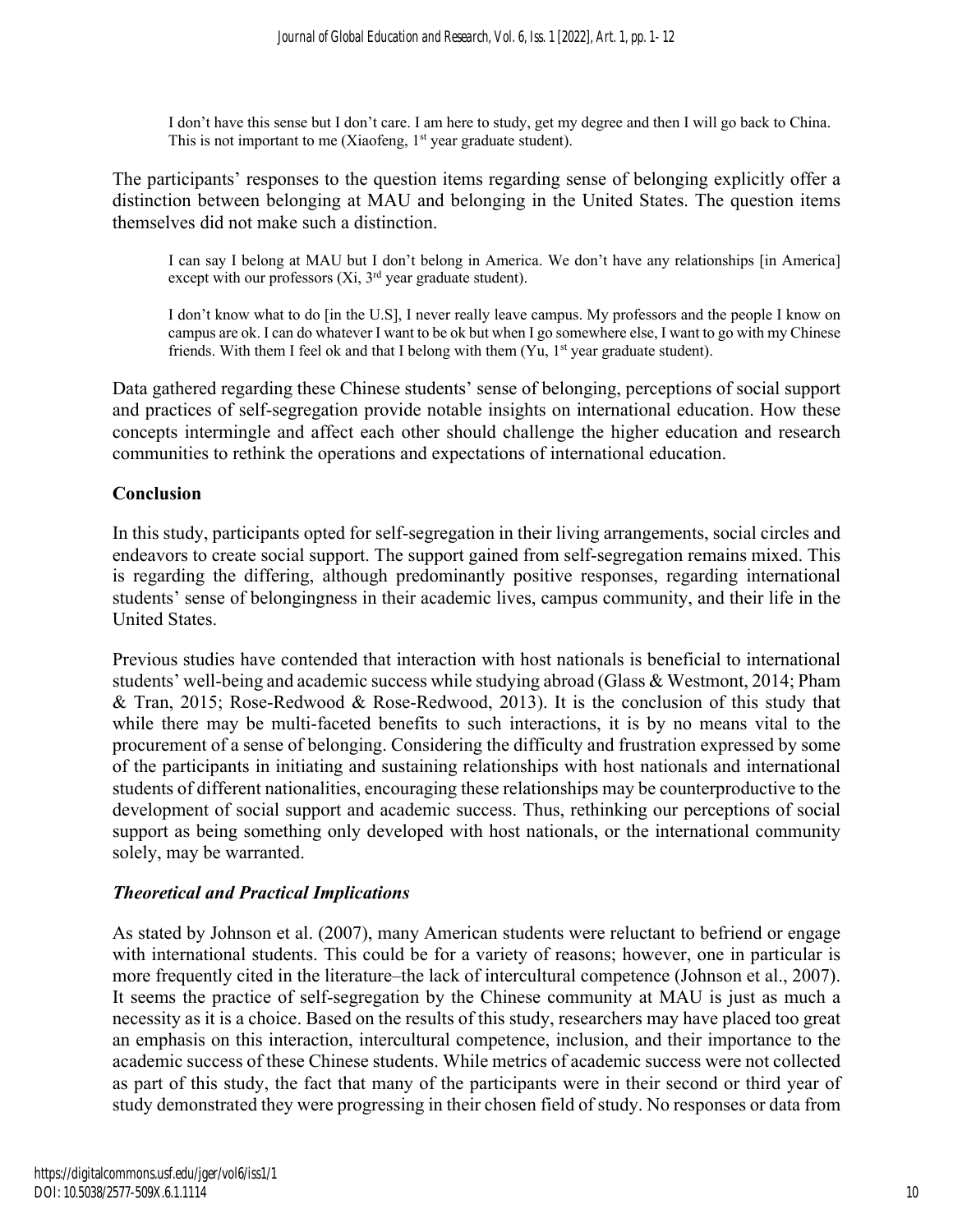I don't have this sense but I don't care. I am here to study, get my degree and then I will go back to China. This is not important to me (Xiaofeng,  $1<sup>st</sup>$  year graduate student).

The participants' responses to the question items regarding sense of belonging explicitly offer a distinction between belonging at MAU and belonging in the United States. The question items themselves did not make such a distinction.

I can say I belong at MAU but I don't belong in America. We don't have any relationships [in America] except with our professors  $(X_i, 3<sup>rd</sup>)$  year graduate student).

I don't know what to do [in the U.S], I never really leave campus. My professors and the people I know on campus are ok. I can do whatever I want to be ok but when I go somewhere else, I want to go with my Chinese friends. With them I feel ok and that I belong with them  $(Yu, 1<sup>st</sup>$  year graduate student).

Data gathered regarding these Chinese students' sense of belonging, perceptions of social support and practices of self-segregation provide notable insights on international education. How these concepts intermingle and affect each other should challenge the higher education and research communities to rethink the operations and expectations of international education.

#### **Conclusion**

In this study, participants opted for self-segregation in their living arrangements, social circles and endeavors to create social support. The support gained from self-segregation remains mixed. This is regarding the differing, although predominantly positive responses, regarding international students' sense of belongingness in their academic lives, campus community, and their life in the United States.

Previous studies have contended that interaction with host nationals is beneficial to international students' well-being and academic success while studying abroad (Glass & Westmont, 2014; Pham & Tran, 2015; Rose-Redwood & Rose-Redwood, 2013). It is the conclusion of this study that while there may be multi-faceted benefits to such interactions, it is by no means vital to the procurement of a sense of belonging. Considering the difficulty and frustration expressed by some of the participants in initiating and sustaining relationships with host nationals and international students of different nationalities, encouraging these relationships may be counterproductive to the development of social support and academic success. Thus, rethinking our perceptions of social support as being something only developed with host nationals, or the international community solely, may be warranted.

#### *Theoretical and Practical Implications*

As stated by Johnson et al. (2007), many American students were reluctant to befriend or engage with international students. This could be for a variety of reasons; however, one in particular is more frequently cited in the literature–the lack of intercultural competence (Johnson et al., 2007). It seems the practice of self-segregation by the Chinese community at MAU is just as much a necessity as it is a choice. Based on the results of this study, researchers may have placed too great an emphasis on this interaction, intercultural competence, inclusion, and their importance to the academic success of these Chinese students. While metrics of academic success were not collected as part of this study, the fact that many of the participants were in their second or third year of study demonstrated they were progressing in their chosen field of study. No responses or data from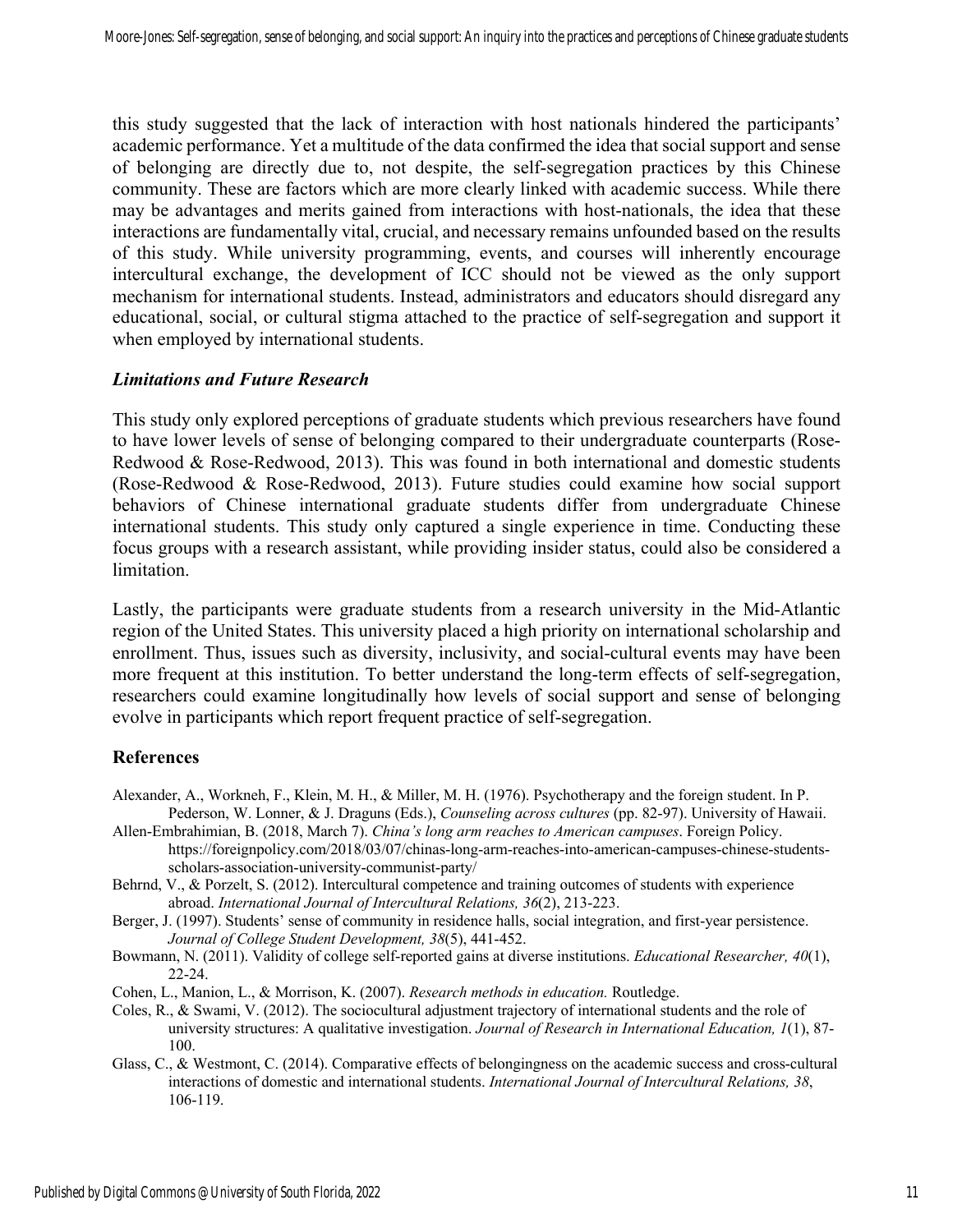this study suggested that the lack of interaction with host nationals hindered the participants' academic performance. Yet a multitude of the data confirmed the idea that social support and sense of belonging are directly due to, not despite, the self-segregation practices by this Chinese community. These are factors which are more clearly linked with academic success. While there may be advantages and merits gained from interactions with host-nationals, the idea that these interactions are fundamentally vital, crucial, and necessary remains unfounded based on the results of this study. While university programming, events, and courses will inherently encourage intercultural exchange, the development of ICC should not be viewed as the only support mechanism for international students. Instead, administrators and educators should disregard any educational, social, or cultural stigma attached to the practice of self-segregation and support it when employed by international students.

#### *Limitations and Future Research*

This study only explored perceptions of graduate students which previous researchers have found to have lower levels of sense of belonging compared to their undergraduate counterparts (Rose-Redwood & Rose-Redwood, 2013). This was found in both international and domestic students (Rose-Redwood & Rose-Redwood, 2013). Future studies could examine how social support behaviors of Chinese international graduate students differ from undergraduate Chinese international students. This study only captured a single experience in time. Conducting these focus groups with a research assistant, while providing insider status, could also be considered a limitation.

Lastly, the participants were graduate students from a research university in the Mid-Atlantic region of the United States. This university placed a high priority on international scholarship and enrollment. Thus, issues such as diversity, inclusivity, and social-cultural events may have been more frequent at this institution. To better understand the long-term effects of self-segregation, researchers could examine longitudinally how levels of social support and sense of belonging evolve in participants which report frequent practice of self-segregation.

#### **References**

- Alexander, A., Workneh, F., Klein, M. H., & Miller, M. H. (1976). Psychotherapy and the foreign student. In P. Pederson, W. Lonner, & J. Draguns (Eds.), *Counseling across cultures* (pp. 82-97). University of Hawaii.
- Allen-Embrahimian, B. (2018, March 7). *China's long arm reaches to American campuses*. Foreign Policy. https://foreignpolicy.com/2018/03/07/chinas-long-arm-reaches-into-american-campuses-chinese-studentsscholars-association-university-communist-party/
- Behrnd, V., & Porzelt, S. (2012). Intercultural competence and training outcomes of students with experience abroad. *International Journal of Intercultural Relations, 36*(2), 213-223.

Berger, J. (1997). Students' sense of community in residence halls, social integration, and first-year persistence. *Journal of College Student Development, 38*(5), 441-452.

- Bowmann, N. (2011). Validity of college self-reported gains at diverse institutions. *Educational Researcher, 40*(1), 22-24.
- Cohen, L., Manion, L., & Morrison, K. (2007). *Research methods in education.* Routledge.
- Coles, R., & Swami, V. (2012). The sociocultural adjustment trajectory of international students and the role of university structures: A qualitative investigation. *Journal of Research in International Education, 1*(1), 87- 100.
- Glass, C., & Westmont, C. (2014). Comparative effects of belongingness on the academic success and cross-cultural interactions of domestic and international students. *International Journal of Intercultural Relations, 38*, 106-119.